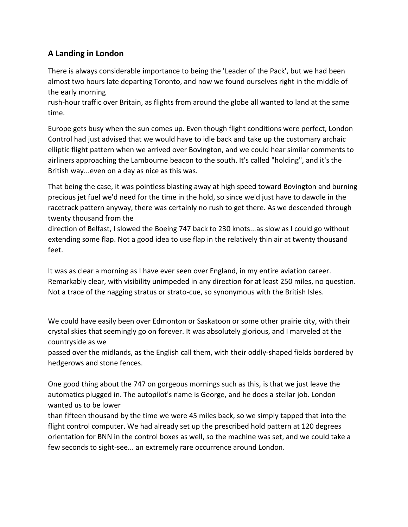## **A Landing in London**

There is always considerable importance to being the 'Leader of the Pack', but we had been almost two hours late departing Toronto, and now we found ourselves right in the middle of the early morning

rush-hour traffic over Britain, as flights from around the globe all wanted to land at the same time.

Europe gets busy when the sun comes up. Even though flight conditions were perfect, London Control had just advised that we would have to idle back and take up the customary archaic elliptic flight pattern when we arrived over Bovington, and we could hear similar comments to airliners approaching the Lambourne beacon to the south. It's called "holding", and it's the British way...even on a day as nice as this was.

That being the case, it was pointless blasting away at high speed toward Bovington and burning precious jet fuel we'd need for the time in the hold, so since we'd just have to dawdle in the racetrack pattern anyway, there was certainly no rush to get there. As we descended through twenty thousand from the

direction of Belfast, I slowed the Boeing 747 back to 230 knots...as slow as I could go without extending some flap. Not a good idea to use flap in the relatively thin air at twenty thousand feet.

It was as clear a morning as I have ever seen over England, in my entire aviation career. Remarkably clear, with visibility unimpeded in any direction for at least 250 miles, no question. Not a trace of the nagging stratus or strato-cue, so synonymous with the British Isles.

We could have easily been over Edmonton or Saskatoon or some other prairie city, with their crystal skies that seemingly go on forever. It was absolutely glorious, and I marveled at the countryside as we

passed over the midlands, as the English call them, with their oddly-shaped fields bordered by hedgerows and stone fences.

One good thing about the 747 on gorgeous mornings such as this, is that we just leave the automatics plugged in. The autopilot's name is George, and he does a stellar job. London wanted us to be lower

than fifteen thousand by the time we were 45 miles back, so we simply tapped that into the flight control computer. We had already set up the prescribed hold pattern at 120 degrees orientation for BNN in the control boxes as well, so the machine was set, and we could take a few seconds to sight-see... an extremely rare occurrence around London.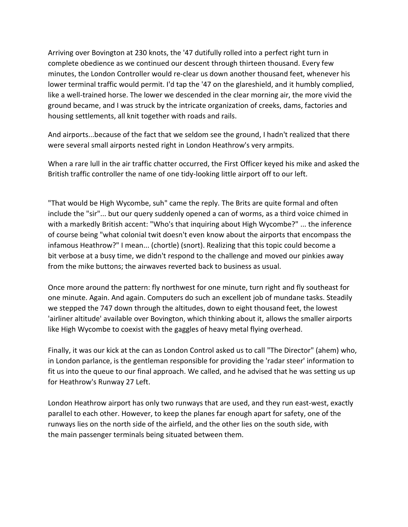Arriving over Bovington at 230 knots, the '47 dutifully rolled into a perfect right turn in complete obedience as we continued our descent through thirteen thousand. Every few minutes, the London Controller would re-clear us down another thousand feet, whenever his lower terminal traffic would permit. I'd tap the '47 on the glareshield, and it humbly complied, like a well-trained horse. The lower we descended in the clear morning air, the more vivid the ground became, and I was struck by the intricate organization of creeks, dams, factories and housing settlements, all knit together with roads and rails.

And airports...because of the fact that we seldom see the ground, I hadn't realized that there were several small airports nested right in London Heathrow's very armpits.

When a rare lull in the air traffic chatter occurred, the First Officer keyed his mike and asked the British traffic controller the name of one tidy-looking little airport off to our left.

"That would be High Wycombe, suh" came the reply. The Brits are quite formal and often include the "sir"... but our query suddenly opened a can of worms, as a third voice chimed in with a markedly British accent: "Who's that inquiring about High Wycombe?" ... the inference of course being "what colonial twit doesn't even know about the airports that encompass the infamous Heathrow?" I mean... (chortle) (snort). Realizing that this topic could become a bit verbose at a busy time, we didn't respond to the challenge and moved our pinkies away from the mike buttons; the airwaves reverted back to business as usual.

Once more around the pattern: fly northwest for one minute, turn right and fly southeast for one minute. Again. And again. Computers do such an excellent job of mundane tasks. Steadily we stepped the 747 down through the altitudes, down to eight thousand feet, the lowest 'airliner altitude' available over Bovington, which thinking about it, allows the smaller airports like High Wycombe to coexist with the gaggles of heavy metal flying overhead.

Finally, it was our kick at the can as London Control asked us to call "The Director" (ahem) who, in London parlance, is the gentleman responsible for providing the 'radar steer' information to fit us into the queue to our final approach. We called, and he advised that he was setting us up for Heathrow's Runway 27 Left.

London Heathrow airport has only two runways that are used, and they run east-west, exactly parallel to each other. However, to keep the planes far enough apart for safety, one of the runways lies on the north side of the airfield, and the other lies on the south side, with the main passenger terminals being situated between them.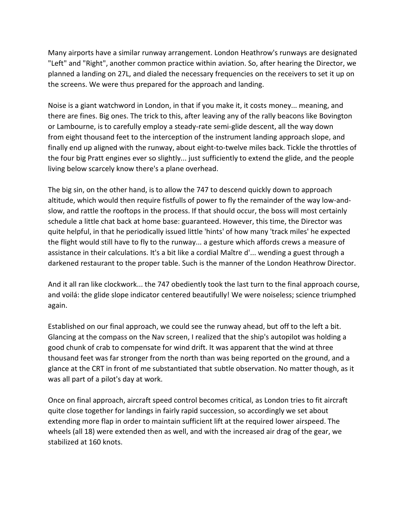Many airports have a similar runway arrangement. London Heathrow's runways are designated "Left" and "Right", another common practice within aviation. So, after hearing the Director, we planned a landing on 27L, and dialed the necessary frequencies on the receivers to set it up on the screens. We were thus prepared for the approach and landing.

Noise is a giant watchword in London, in that if you make it, it costs money... meaning, and there are fines. Big ones. The trick to this, after leaving any of the rally beacons like Bovington or Lambourne, is to carefully employ a steady-rate semi-glide descent, all the way down from eight thousand feet to the interception of the instrument landing approach slope, and finally end up aligned with the runway, about eight-to-twelve miles back. Tickle the throttles of the four big Pratt engines ever so slightly... just sufficiently to extend the glide, and the people living below scarcely know there's a plane overhead.

The big sin, on the other hand, is to allow the 747 to descend quickly down to approach altitude, which would then require fistfulls of power to fly the remainder of the way low-andslow, and rattle the rooftops in the process. If that should occur, the boss will most certainly schedule a little chat back at home base: guaranteed. However, this time, the Director was quite helpful, in that he periodically issued little 'hints' of how many 'track miles' he expected the flight would still have to fly to the runway... a gesture which affords crews a measure of assistance in their calculations. It's a bit like a cordial Maître d'... wending a guest through a darkened restaurant to the proper table. Such is the manner of the London Heathrow Director.

And it all ran like clockwork... the 747 obediently took the last turn to the final approach course, and voilá: the glide slope indicator centered beautifully! We were noiseless; science triumphed again.

Established on our final approach, we could see the runway ahead, but off to the left a bit. Glancing at the compass on the Nav screen, I realized that the ship's autopilot was holding a good chunk of crab to compensate for wind drift. It was apparent that the wind at three thousand feet was far stronger from the north than was being reported on the ground, and a glance at the CRT in front of me substantiated that subtle observation. No matter though, as it was all part of a pilot's day at work.

Once on final approach, aircraft speed control becomes critical, as London tries to fit aircraft quite close together for landings in fairly rapid succession, so accordingly we set about extending more flap in order to maintain sufficient lift at the required lower airspeed. The wheels (all 18) were extended then as well, and with the increased air drag of the gear, we stabilized at 160 knots.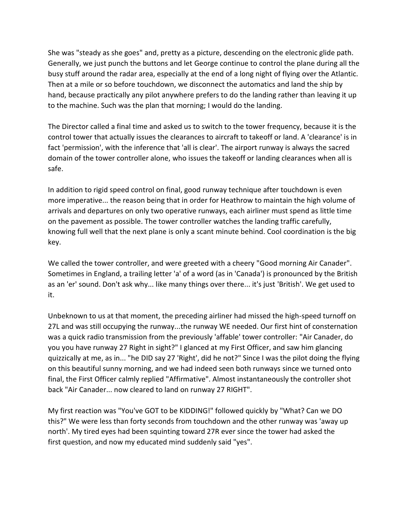She was "steady as she goes" and, pretty as a picture, descending on the electronic glide path. Generally, we just punch the buttons and let George continue to control the plane during all the busy stuff around the radar area, especially at the end of a long night of flying over the Atlantic. Then at a mile or so before touchdown, we disconnect the automatics and land the ship by hand, because practically any pilot anywhere prefers to do the landing rather than leaving it up to the machine. Such was the plan that morning; I would do the landing.

The Director called a final time and asked us to switch to the tower frequency, because it is the control tower that actually issues the clearances to aircraft to takeoff or land. A 'clearance' is in fact 'permission', with the inference that 'all is clear'. The airport runway is always the sacred domain of the tower controller alone, who issues the takeoff or landing clearances when all is safe.

In addition to rigid speed control on final, good runway technique after touchdown is even more imperative... the reason being that in order for Heathrow to maintain the high volume of arrivals and departures on only two operative runways, each airliner must spend as little time on the pavement as possible. The tower controller watches the landing traffic carefully, knowing full well that the next plane is only a scant minute behind. Cool coordination is the big key.

We called the tower controller, and were greeted with a cheery "Good morning Air Canader". Sometimes in England, a trailing letter 'a' of a word (as in 'Canada') is pronounced by the British as an 'er' sound. Don't ask why... like many things over there... it's just 'British'. We get used to it.

Unbeknown to us at that moment, the preceding airliner had missed the high-speed turnoff on 27L and was still occupying the runway...the runway WE needed. Our first hint of consternation was a quick radio transmission from the previously 'affable' tower controller: "Air Canader, do you you have runway 27 Right in sight?" I glanced at my First Officer, and saw him glancing quizzically at me, as in... "he DID say 27 'Right', did he not?" Since I was the pilot doing the flying on this beautiful sunny morning, and we had indeed seen both runways since we turned onto final, the First Officer calmly replied "Affirmative". Almost instantaneously the controller shot back "Air Canader... now cleared to land on runway 27 RIGHT".

My first reaction was "You've GOT to be KIDDING!" followed quickly by "What? Can we DO this?" We were less than forty seconds from touchdown and the other runway was 'away up north'. My tired eyes had been squinting toward 27R ever since the tower had asked the first question, and now my educated mind suddenly said "yes".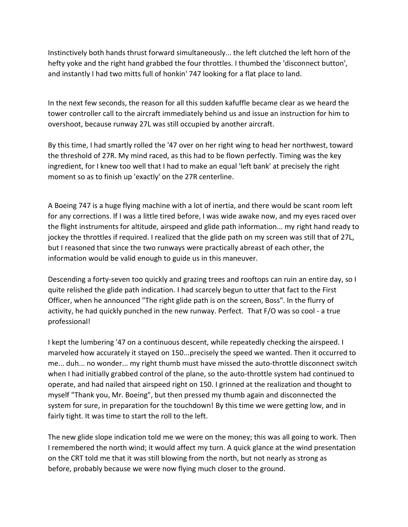Instinctively both hands thrust forward simultaneously... the left clutched the left horn of the hefty yoke and the right hand grabbed the four throttles. I thumbed the 'disconnect button', and instantly I had two mitts full of honkin' 747 looking for a flat place to land.

In the next few seconds, the reason for all this sudden kafuffle became clear as we heard the tower controller call to the aircraft immediately behind us and issue an instruction for him to overshoot, because runway 27L was still occupied by another aircraft.

By this time, I had smartly rolled the '47 over on her right wing to head her northwest, toward the threshold of 27R. My mind raced, as this had to be flown perfectly. Timing was the key ingredient, for I knew too well that I had to make an equal 'left bank' at precisely the right moment so as to finish up 'exactly' on the 27R centerline.

A Boeing 747 is a huge flying machine with a lot of inertia, and there would be scant room left for any corrections. If I was a little tired before, I was wide awake now, and my eyes raced over the flight instruments for altitude, airspeed and glide path information... my right hand ready to jockey the throttles if required. I realized that the glide path on my screen was still that of 27L, but I reasoned that since the two runways were practically abreast of each other, the information would be valid enough to guide us in this maneuver.

Descending a forty-seven too quickly and grazing trees and rooftops can ruin an entire day, so I quite relished the glide path indication. I had scarcely begun to utter that fact to the First Officer, when he announced "The right glide path is on the screen, Boss". In the flurry of activity, he had quickly punched in the new runway. Perfect. That F/O was so cool - a true professional!

I kept the lumbering '47 on a continuous descent, while repeatedly checking the airspeed. I marveled how accurately it stayed on 150...precisely the speed we wanted. Then it occurred to me... duh... no wonder... my right thumb must have missed the auto-throttle disconnect switch when I had initially grabbed control of the plane, so the auto-throttle system had continued to operate, and had nailed that airspeed right on 150. I grinned at the realization and thought to myself "Thank you, Mr. Boeing", but then pressed my thumb again and disconnected the system for sure, in preparation for the touchdown! By this time we were getting low, and in fairly tight. It was time to start the roll to the left.

The new glide slope indication told me we were on the money; this was all going to work. Then I remembered the north wind; it would affect my turn. A quick glance at the wind presentation on the CRT told me that it was still blowing from the north, but not nearly as strong as before, probably because we were now flying much closer to the ground.